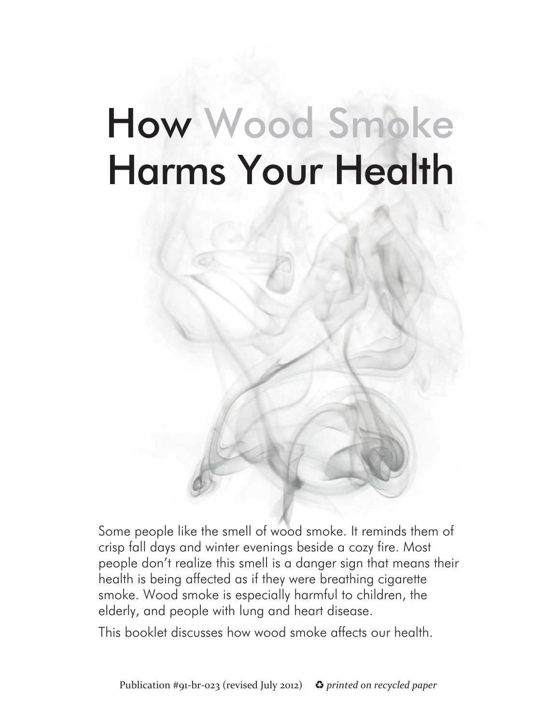# How Wood Smoke Harms Your Health



Some people like the smell of wood smoke. It reminds them of crisp fall days and winter evenings beside a cozy fire. Most people don't realize this smell is a danger sign that means their health is being affected as if they were breathing cigarette smoke. Wood smoke is especially harmful to children, the elderly, and people with lung and heart disease.

This booklet discusses how wood smoke affects our health.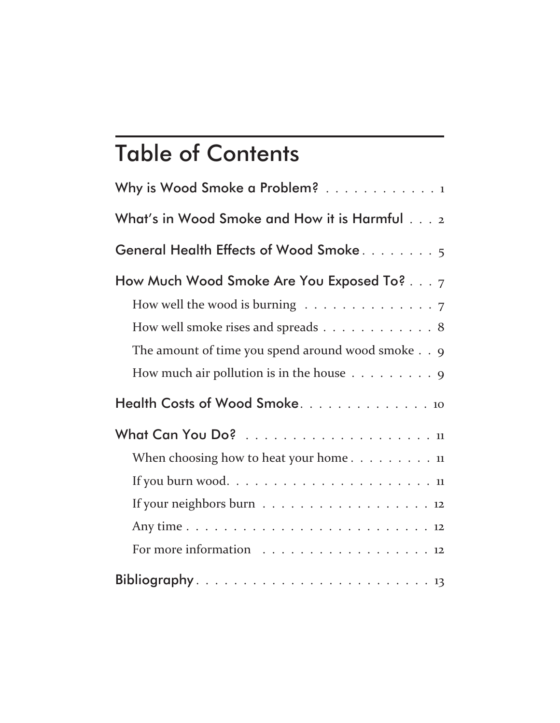## Table of Contents

| Why is Wood Smoke a Problem? 1                                                                                                                                                                                                                                                   |
|----------------------------------------------------------------------------------------------------------------------------------------------------------------------------------------------------------------------------------------------------------------------------------|
| What's in Wood Smoke and How it is Harmful 2                                                                                                                                                                                                                                     |
| General Health Effects of Wood Smoke5                                                                                                                                                                                                                                            |
| How Much Wood Smoke Are You Exposed To? $\dots$ 7<br>How well the wood is burning $\ldots \ldots \ldots \ldots \ldots$<br>How well smoke rises and spreads 8<br>The amount of time you spend around wood smoke 9<br>How much air pollution is in the house $\dots \dots \dots$ 9 |
|                                                                                                                                                                                                                                                                                  |
| When choosing how to heat your home $11$<br>If your neighbors burn 12<br>For more information 12                                                                                                                                                                                 |
|                                                                                                                                                                                                                                                                                  |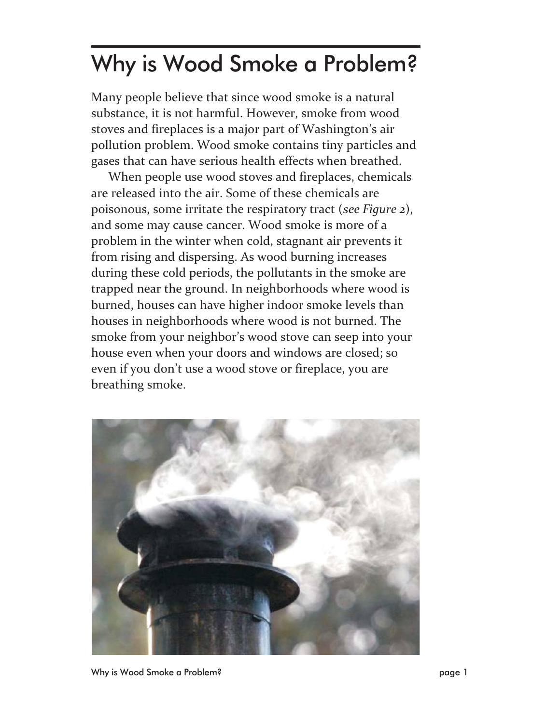### Why is Wood Smoke a Problem?

Many people believe that since wood smoke is a natural substance, it is not harmful. However, smoke from wood stoves and fireplaces is a major part of Washington's air pollution problem. Wood smoke contains tiny particles and gases that can have serious health effects when breathed.

When people use wood stoves and fireplaces, chemicals are released into the air. Some of these chemicals are poisonous, some irritate the respiratory tract (*see Figure 2*), and some may cause cancer. Wood smoke is more of a problem in the winter when cold, stagnant air prevents it from rising and dispersing. As wood burning increases during these cold periods, the pollutants in the smoke are trapped near the ground. In neighborhoods where wood is burned, houses can have higher indoor smoke levels than houses in neighborhoods where wood is not burned. The smoke from your neighbor's wood stove can seep into your house even when your doors and windows are closed; so even if you don't use a wood stove or fireplace, you are breathing smoke.

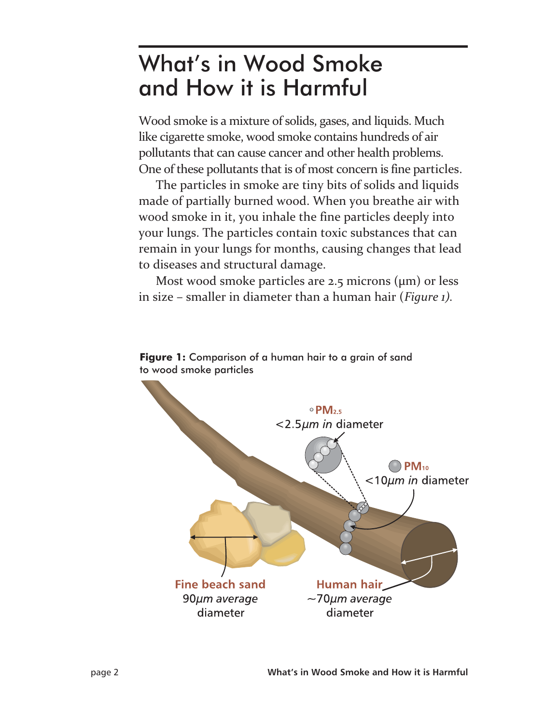### What's in Wood Smoke and How it is Harmful

Wood smoke is a mixture of solids, gases, and liquids. Much like cigarette smoke, wood smoke contains hundreds of air pollutants that can cause cancer and other health problems. One of these pollutants that is of most concern is fine particles.

The particles in smoke are tiny bits of solids and liquids made of partially burned wood. When you breathe air with wood smoke in it, you inhale the fine particles deeply into your lungs. The particles contain toxic substances that can remain in your lungs for months, causing changes that lead to diseases and structural damage.

Most wood smoke particles are 2.5 microns  $(\mu m)$  or less in size – smaller in diameter than a human hair (*Figure 1).*



#### **Figure 1:** Comparison of a human hair to a grain of sand to wood smoke particles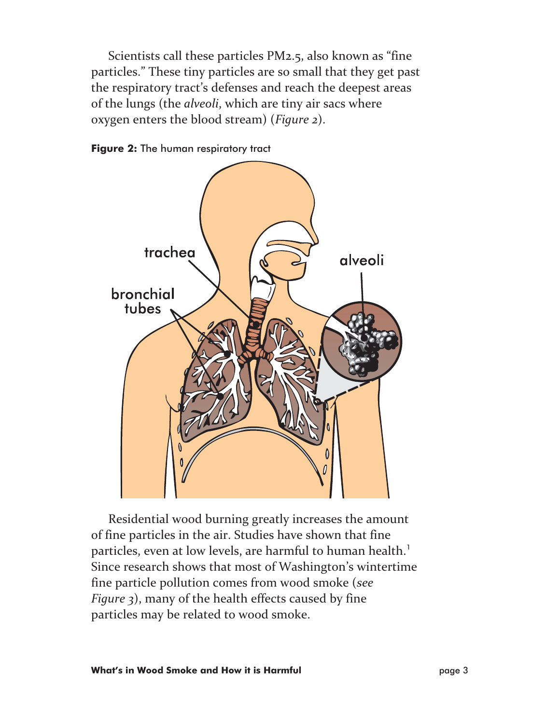Scientists call these particles PM2.5, also known as "fine particles." These tiny particles are so small that they get past the respiratory tract's defenses and reach the deepest areas of the lungs (the *alveoli*, which are tiny air sacs where oxygen enters the blood stream) (*Figure 2*).





Residential wood burning greatly increases the amount of fine particles in the air. Studies have shown that fine particles, even at low levels, are harmful to human health.<sup>1</sup> Since research shows that most of Washington's wintertime fine particle pollution comes from wood smoke (*see Figure 3*), many of the health effects caused by fine particles may be related to wood smoke.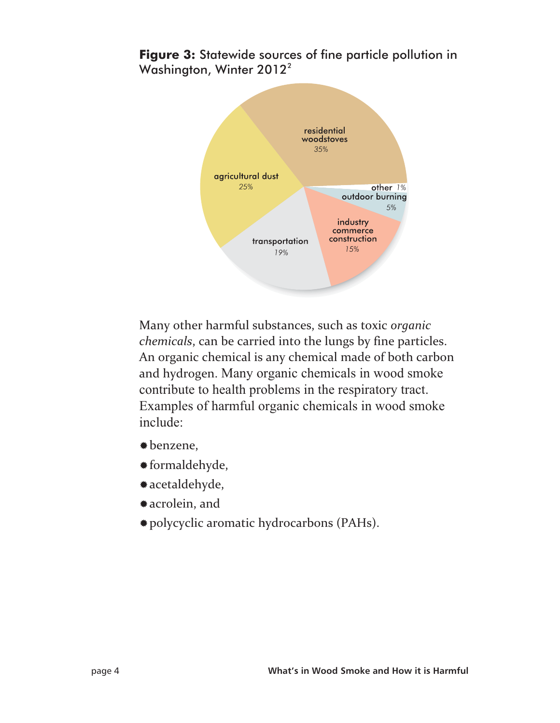#### **Figure 3:** Statewide sources of fine particle pollution in Washington, Winter 2012<sup>2</sup>



Many other harmful substances, such as toxic *organic chemicals*, can be carried into the lungs by fine particles. An organic chemical is any chemical made of both carbon and hydrogen. Many organic chemicals in wood smoke contribute to health problems in the respiratory tract. Examples of harmful organic chemicals in wood smoke include:

- -benzene,
- -formaldehyde,
- -acetaldehyde,
- -acrolein, and
- -polycyclic aromatic hydrocarbons (PAHs).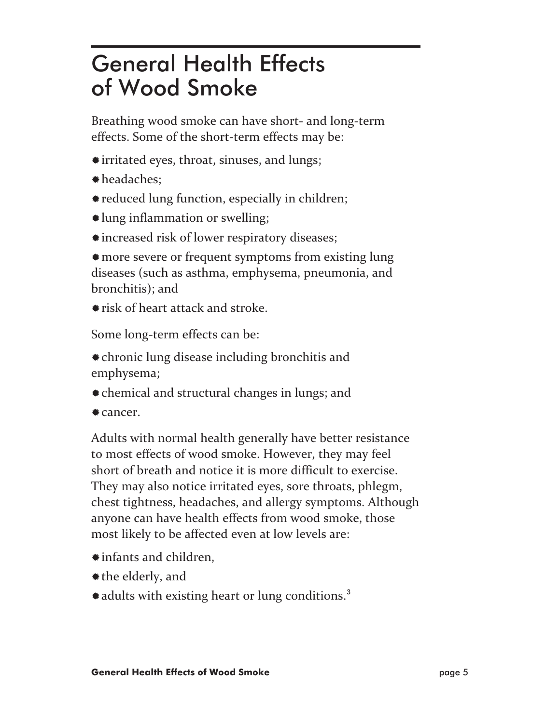### General Health Effects of Wood Smoke

Breathing wood smoke can have short- and long-term effects. Some of the short-term effects may be:

- -irritated eyes, throat, sinuses, and lungs;
- -headaches;
- -reduced lung function, especially in children;
- -lung inflammation or swelling;
- -increased risk of lower respiratory diseases;

-more severe or frequent symptoms from existing lung diseases (such as asthma, emphysema, pneumonia, and bronchitis); and

-risk of heart attack and stroke.

Some long-term effects can be:

-chronic lung disease including bronchitis and emphysema;

- -chemical and structural changes in lungs; and
- -cancer.

Adults with normal health generally have better resistance to most effects of wood smoke. However, they may feel short of breath and notice it is more difficult to exercise. They may also notice irritated eyes, sore throats, phlegm, chest tightness, headaches, and allergy symptoms. Although anyone can have health effects from wood smoke, those most likely to be affected even at low levels are:

- -infants and children,
- -the elderly, and
- \* adults with existing heart or lung conditions.<sup>3</sup>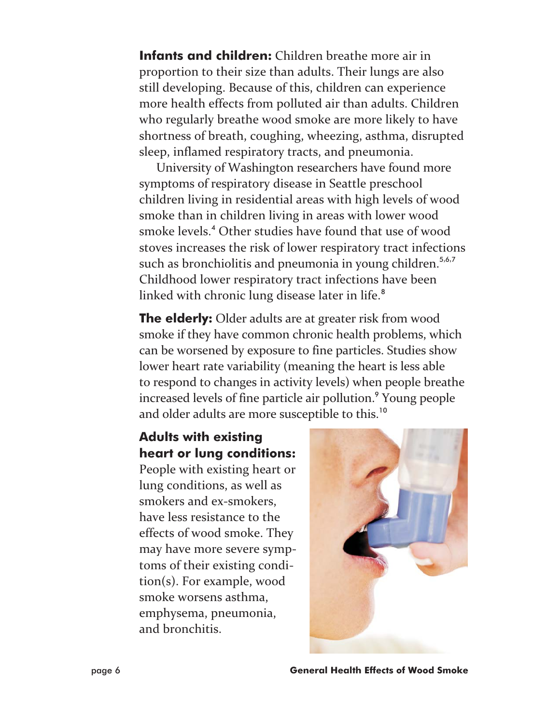**Infants and children:** Children breathe more air in proportion to their size than adults. Their lungs are also still developing. Because of this, children can experience more health effects from polluted air than adults. Children who regularly breathe wood smoke are more likely to have shortness of breath, coughing, wheezing, asthma, disrupted sleep, inflamed respiratory tracts, and pneumonia.

University of Washington researchers have found more symptoms of respiratory disease in Seattle preschool children living in residential areas with high levels of wood smoke than in children living in areas with lower wood smoke levels.<sup>4</sup> Other studies have found that use of wood stoves increases the risk of lower respiratory tract infections such as bronchiolitis and pneumonia in young children.<sup>5,6,7</sup> Childhood lower respiratory tract infections have been linked with chronic lung disease later in life.<sup>8</sup>

**The elderly:** Older adults are at greater risk from wood smoke if they have common chronic health problems, which can be worsened by exposure to fine particles. Studies show lower heart rate variability (meaning the heart is less able to respond to changes in activity levels) when people breathe increased levels of fine particle air pollution.<sup>9</sup> Young people and older adults are more susceptible to this.<sup>10</sup>

#### **Adults with existing heart or lung conditions:**

People with existing heart or lung conditions, as well as smokers and ex-smokers, have less resistance to the effects of wood smoke. They may have more severe symptoms of their existing condition(s). For example, wood smoke worsens asthma, emphysema, pneumonia, and bronchitis.

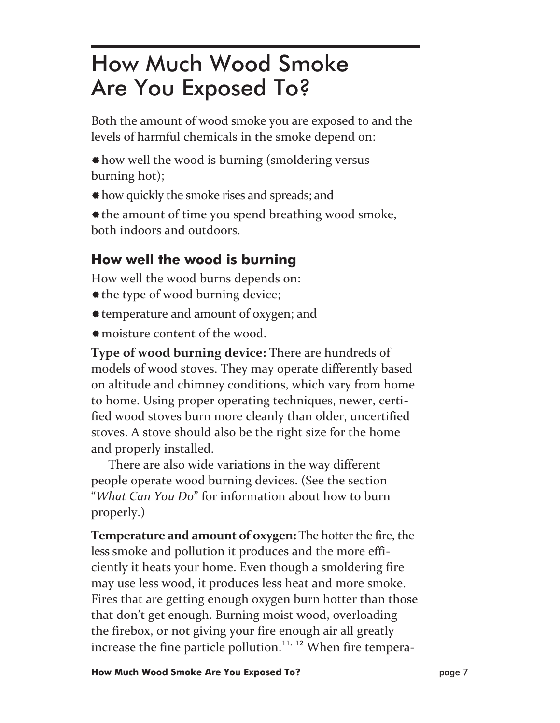### How Much Wood Smoke Are You Exposed To?

Both the amount of wood smoke you are exposed to and the levels of harmful chemicals in the smoke depend on:

- -how well the wood is burning (smoldering versus burning hot);
- -how quickly the smoke rises and spreads; and
- \* the amount of time you spend breathing wood smoke, both indoors and outdoors.

### **How well the wood is burning**

How well the wood burns depends on:

- \* the type of wood burning device;
- -temperature and amount of oxygen; and
- -moisture content of the wood.

**Type of wood burning device:** There are hundreds of models of wood stoves. They may operate differently based on altitude and chimney conditions, which vary from home to home. Using proper operating techniques, newer, certified wood stoves burn more cleanly than older, uncertified stoves. A stove should also be the right size for the home and properly installed.

There are also wide variations in the way different people operate wood burning devices. (See the section "*What Can You Do*" for information about how to burn properly.)

**Temperature and amount of oxygen:** The hotter the fire, the less smoke and pollution it produces and the more efficiently it heats your home. Even though a smoldering fire may use less wood, it produces less heat and more smoke. Fires that are getting enough oxygen burn hotter than those that don't get enough. Burning moist wood, overloading the firebox, or not giving your fire enough air all greatly increase the fine particle pollution.<sup>11, 12</sup> When fire tempera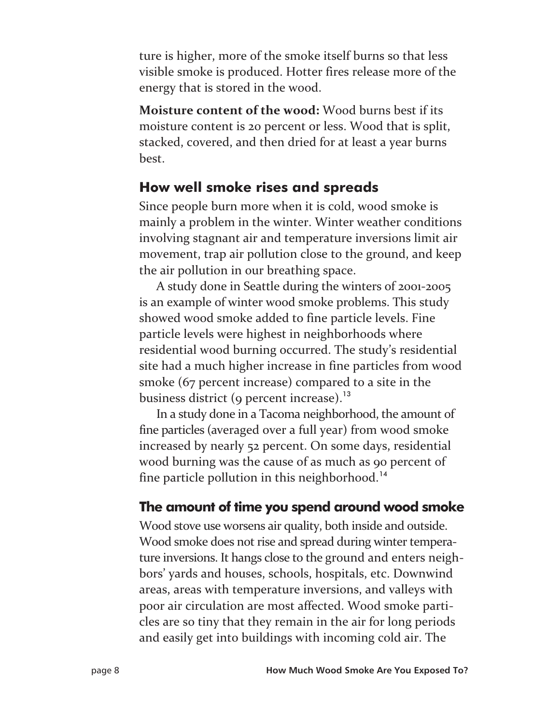ture is higher, more of the smoke itself burns so that less visible smoke is produced. Hotter fires release more of the energy that is stored in the wood.

**Moisture content of the wood:** Wood burns best if its moisture content is 20 percent or less. Wood that is split, stacked, covered, and then dried for at least a year burns best.

### **How well smoke rises and spreads**

Since people burn more when it is cold, wood smoke is mainly a problem in the winter. Winter weather conditions involving stagnant air and temperature inversions limit air movement, trap air pollution close to the ground, and keep the air pollution in our breathing space.

A study done in Seattle during the winters of 2001-2005 is an example of winter wood smoke problems. This study showed wood smoke added to fine particle levels. Fine particle levels were highest in neighborhoods where residential wood burning occurred. The study's residential site had a much higher increase in fine particles from wood smoke (67 percent increase) compared to a site in the business district (9 percent increase). $^{13}$ 

In a study done in a Tacoma neighborhood, the amount of fine particles (averaged over a full year) from wood smoke increased by nearly 52 percent. On some days, residential wood burning was the cause of as much as 90 percent of fine particle pollution in this neighborhood.<sup>14</sup>

### **The amount of time you spend around wood smoke**

Wood stove use worsens air quality, both inside and outside. Wood smoke does not rise and spread during winter temperature inversions. It hangs close to the ground and enters neighbors' yards and houses, schools, hospitals, etc. Downwind areas, areas with temperature inversions, and valleys with poor air circulation are most affected. Wood smoke particles are so tiny that they remain in the air for long periods and easily get into buildings with incoming cold air. The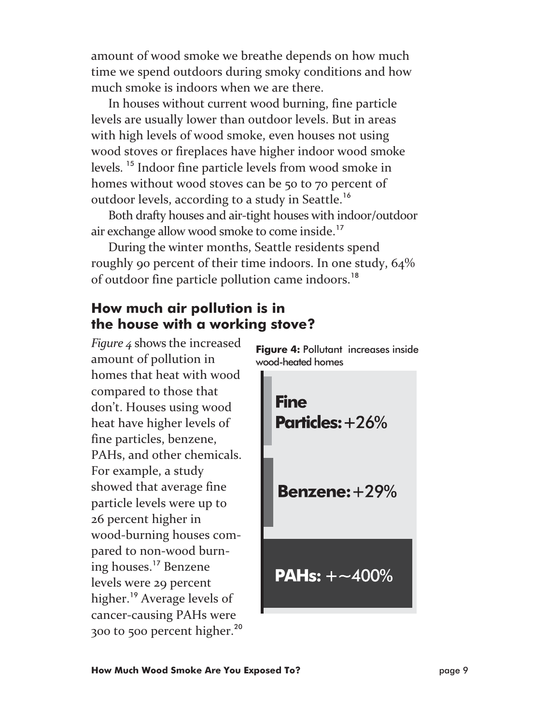amount of wood smoke we breathe depends on how much time we spend outdoors during smoky conditions and how much smoke is indoors when we are there.

In houses without current wood burning, fine particle levels are usually lower than outdoor levels. But in areas with high levels of wood smoke, even houses not using wood stoves or fireplaces have higher indoor wood smoke levels. <sup>15</sup> Indoor fine particle levels from wood smoke in homes without wood stoves can be 50 to 70 percent of outdoor levels, according to a study in Seattle.<sup>16</sup>

Both drafty houses and air-tight houses with indoor/outdoor air exchange allow wood smoke to come inside.<sup>17</sup>

During the winter months, Seattle residents spend roughly 90 percent of their time indoors. In one study, 64% of outdoor fine particle pollution came indoors.<sup>18</sup>

#### **How much air pollution is in the house with a working stove?**

*Figure 4* shows the increased amount of pollution in homes that heat with wood compared to those that don't. Houses using wood heat have higher levels of fine particles, benzene, PAHs, and other chemicals. For example, a study showed that average fine particle levels were up to 26 percent higher in wood-burning houses compared to non-wood burning houses.<sup>17</sup> Benzene levels were 29 percent higher.<sup>19</sup> Average levels of cancer-causing PAHs were 300 to 500 percent higher.<sup>20</sup>

**Figure 4: Pollutant increases inside** wood-heated homes

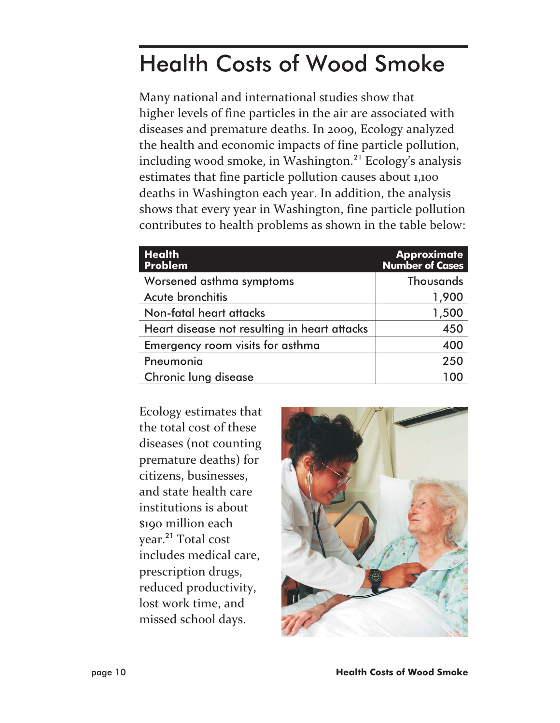## Health Costs of Wood Smoke

Many national and international studies show that higher levels of fine particles in the air are associated with diseases and premature deaths. In 2009, Ecology analyzed the health and economic impacts of fine particle pollution, including wood smoke, in Washington.<sup>21</sup> Ecology's analysis estimates that fine particle pollution causes about 1,100 deaths in Washington each year. In addition, the analysis shows that every year in Washington, fine particle pollution contributes to health problems as shown in the table below:

| <b>Health</b><br><b>Problem</b>              | <b>Approximate</b><br><b>Number of Cases</b> |
|----------------------------------------------|----------------------------------------------|
| Worsened asthma symptoms                     | Thousands                                    |
| Acute bronchitis                             | 1,900                                        |
| Non-fatal heart attacks                      | 1,500                                        |
| Heart disease not resulting in heart attacks | 450                                          |
| Emergency room visits for asthma             | 400                                          |
| Pneumonia                                    | 250                                          |
| <b>Chronic lung disease</b>                  |                                              |

Ecology estimates that the total cost of these diseases (not counting premature deaths) for citizens, businesses, and state health care institutions is about \$190 million each year.<sup>21</sup> Total cost includes medical care, prescription drugs, reduced productivity, lost work time, and missed school days.

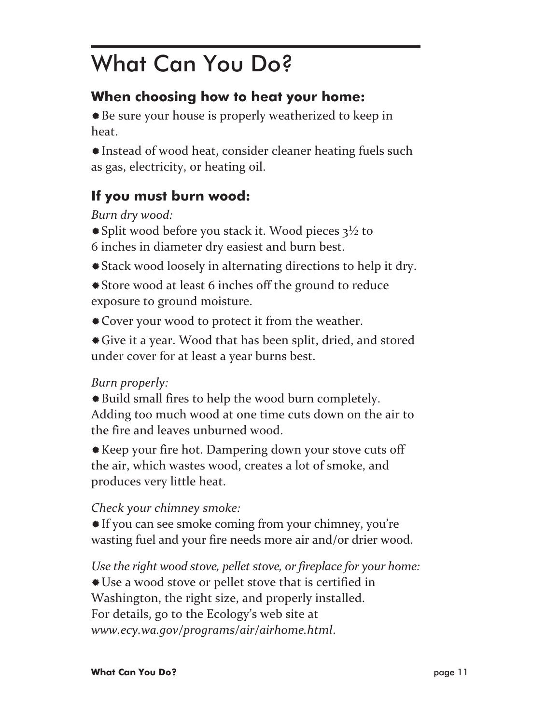### What Can You Do?

### **When choosing how to heat your home:**

-Be sure your house is properly weatherized to keep in heat.

-Instead of wood heat, consider cleaner heating fuels such as gas, electricity, or heating oil.

### **If you must burn wood:**

*Burn dry wood:*

- \* Split wood before you stack it. Wood pieces 3<sup>1</sup>/2 to 6 inches in diameter dry easiest and burn best.
- -Stack wood loosely in alternating directions to help it dry.
- -Store wood at least 6 inches off the ground to reduce exposure to ground moisture.
- \* Cover your wood to protect it from the weather.
- -Give it a year. Wood that has been split, dried, and stored under cover for at least a year burns best.

#### *Burn properly:*

- -Build small fires to help the wood burn completely. Adding too much wood at one time cuts down on the air to the fire and leaves unburned wood.
- -Keep your fire hot. Dampering down your stove cuts off the air, which wastes wood, creates a lot of smoke, and produces very little heat.

### *Check your chimney smoke:*

-If you can see smoke coming from your chimney, you're wasting fuel and your fire needs more air and/or drier wood.

*Use the right wood stove, pellet stove, or fireplace for your home:* -Use a wood stove or pellet stove that is certified in Washington, the right size, and properly installed. For details, go to the Ecology's web site at *www.ecy.wa.gov/programs/air/airhome.html*.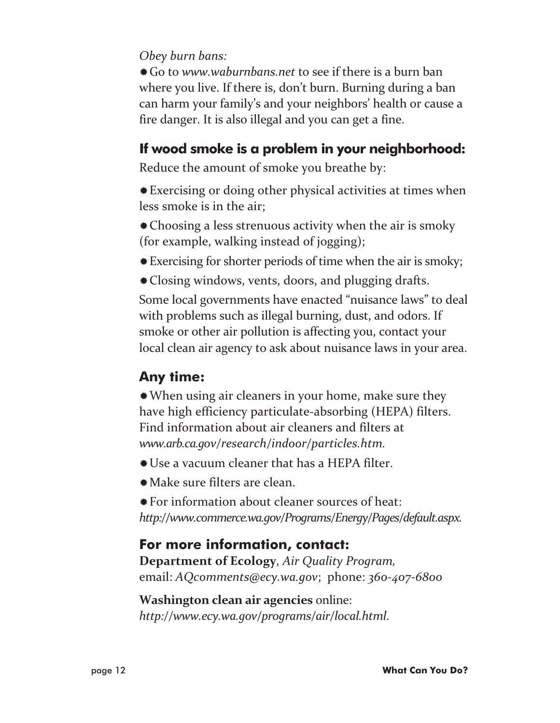#### *Obey burn bans:*

-Go to *www.waburnbans.net* to see if there is a burn ban where you live. If there is, don't burn. Burning during a ban can harm your family's and your neighbors' health or cause a fire danger. It is also illegal and you can get a fine.

### **If wood smoke is a problem in your neighborhood:**

Reduce the amount of smoke you breathe by:

-Exercising or doing other physical activities at times when less smoke is in the air;

-Choosing a less strenuous activity when the air is smoky (for example, walking instead of jogging);

- -Exercising for shorter periods of time when the air is smoky;
- -Closing windows, vents, doors, and plugging drafts.

Some local governments have enacted "nuisance laws" to deal with problems such as illegal burning, dust, and odors. If smoke or other air pollution is affecting you, contact your local clean air agency to ask about nuisance laws in your area.

### **Any time:**

-When using air cleaners in your home, make sure they have high efficiency particulate-absorbing (HEPA) filters. Find information about air cleaners and filters at *www.arb.ca.gov/research/indoor/particles.htm.*

- -Use a vacuum cleaner that has a HEPA filter.
- -Make sure filters are clean.

-For information about cleaner sources of heat: *http://www.commerce.wa.gov/Programs/Energy/Pages/default.aspx.*

### **For more information, contact:**

**Department of Ecology**, *Air Quality Program,* email: *AQcomments@ecy.wa.gov*; phone: *360-407-6800*

**Washington clean air agencies** online: *http://www.ecy.wa.gov/programs/air/local.html*.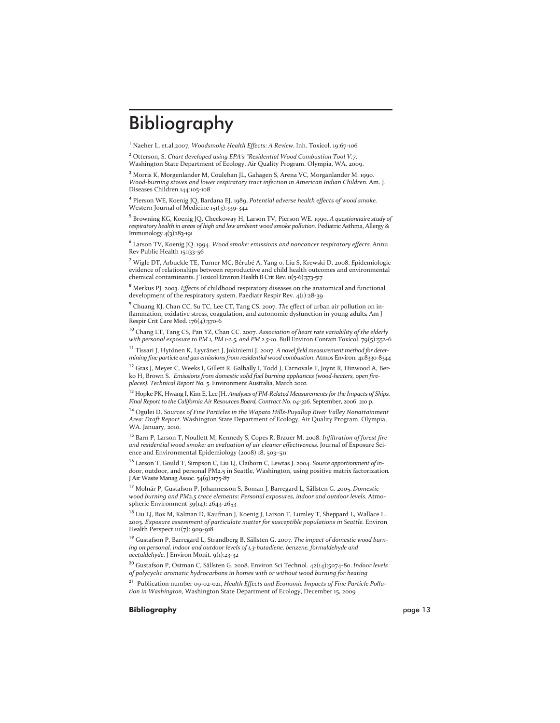### Bibliography

<sup>1</sup> Naeher L, et.al.2007, *Woodsmoke Health Effects: A Review*. Inh. Toxicol. 19:67-106

<sup>2</sup> Otterson, S. *Chart developed using EPA's "Residential Wood Combustion Tool V.7*. Washington State Department of Ecology, Air Quality Program. Olympia, WA. 2009.

<sup>3</sup> Morris K, Morgenlander M, Coulehan JL, Gahagen S, Arena VC, Morganlander M. 1990. *Wood-burning stoves and lower respiratory tract infection in American Indian Children*. Am. J. Diseases Children 144:105-108

<sup>4</sup> Pierson WE, Koenig JQ, Bardana EJ. 1989. *Potential adverse health effects of wood smoke*. Western Journal of Medicine 151(3):339-342

<sup>5</sup> Browning KG, Koenig JQ, Checkoway H, Larson TV, Pierson WE. 1990. *A questionnaire study of respiratory health in areas of high and low ambient wood smoke pollution*. Pediatric Asthma, Allergy & Immunology 4(3):183-191

<sup>6</sup> Larson TV, Koenig JQ. 1994. *Wood smoke: emissions and noncancer respiratory effects.* Annu Rev Public Health 15:133-56

<sup>7</sup> Wigle DT, Arbuckle TE, Turner MC, Bérubé A, Yang 0, Liu S, Krewski D. 2008. *E*pidemiologic evidence of relationships between reproductive and child health outcomes and environmental chemical contaminants. J Toxicol Environ Health B Crit Rev. 11(5-6):373-517

<sup>8</sup> Merkus PJ. 2003. *Effe*cts of childhood respiratory diseases on the anatomical and functional development of the respiratory system. Paediatr Respir Rev. 4(1):28-39

<sup>9</sup> Chuang KJ, Chan CC, Su TC, Lee CT, Tang CS. 2007. *The ef*fect of urban air pollution on inflammation, oxidative stress, coagulation, and autonomic dysfunction in young adults. Am J Respir Crit Care Med. 176(4):370-6

<sup>10</sup> Chang LT, Tang CS, Pan YZ, Chan CC. 2007. *Association of heart rate variability of the elderly with personal exposure to PM 1, PM 1-2.5, and PM 2.5-10*. Bull Environ Contam Toxicol. 79(5):552-6

<sup>11</sup> Tissari J, Hytönen K, Lyyränen J, Jokiniemi J. 2007. *A novel field measurement method for determining fine particle and gas emissions from residential wood combustion*. Atmos Environ. 41:8330-8344

<sup>12</sup> Gras J, Meyer C, Weeks I, Gillett R, Galbally I, Todd J, Carnovale F, Joynt R, Hinwood A, Berko H, Brown S. *Emissions from domestic solid fuel burning appliances (wood-heaters, open fireplaces). Technical Report No. 5*. Environment Australia, March 2002

<sup>13</sup> Hopke PK, Hwang I, Kim E, Lee JH. *Analyses of PM-Related Measurements for the Impacts of Ships. Final Report to the California Air Resources Board, Contract No. 04-326*. September, 2006. 210 p.

<sup>14</sup> Ogulei D. *Sources of Fine Particles in the Wapato Hills-Puyallup River Valley Nonattainment Area: Draft Report*. Washington State Department of Ecology, Air Quality Program. Olympia, WA. January, 2010.

<sup>15</sup> Barn P, Larson T, Noullett M, Kennedy S, Copes R, Brauer M. 2008. *Infiltration of forest fire and residential wood smoke: an evaluation of air cleaner effectiveness*. Journal of Exposure Science and Environmental Epidemiology (2008) 18, 503–511

<sup>16</sup> Larson T, Gould T, Simpson C, Liu LJ, Claiborn C, Lewtas J. 2004. *Source apportionment of ind*oor, outdoor, and personal PM2.5 in Seattle, Washington, using positive matrix factorization. J Air Waste Manag Assoc. 54(9):1175-87

<sup>17</sup> Molnár P, Gustafson P, Johannesson S, Boman J, Barregard L, Sällsten G. 2005. *Domestic wood burning and PM2.5 trace elements: Personal exposures, indoor and outdoor levels*. Atmospheric Environment 39(14): 2643-2653

<sup>18</sup> Liu LJ, Box M, Kalman D, Kaufman J, Koenig J, Larson T, Lumley T, Sheppard L, Wallace L. 2003. *Exposure assessment of particulate matter for susceptible populations in Seattle*. Environ Health Perspect 111(7): 909-918

<sup>19</sup> Gustafson P, Barregard L, Strandberg B, Sällsten G. 2007. *The impact of domestic wood burning on personal, indoor and outdoor levels of 1,3-butadiene, benzene, formaldehyde and acetaldehyde*. J Environ Monit. 9(1):23-32

<sup>20</sup> Gustafson P, Ostman C, Sällsten G. 2008. Environ Sci Technol. 42(14):5074-80. *Indoor levels of polycyclic aromatic hydrocarbons in homes with or without wood burning for heating*

<sup>21</sup> Publication number 09-02-021, *Health Effects and Economic Impacts of Fine Particle Pollution in Washington*, Washington State Department of Ecology, December 15, 2009

#### **Bibliography** page 13